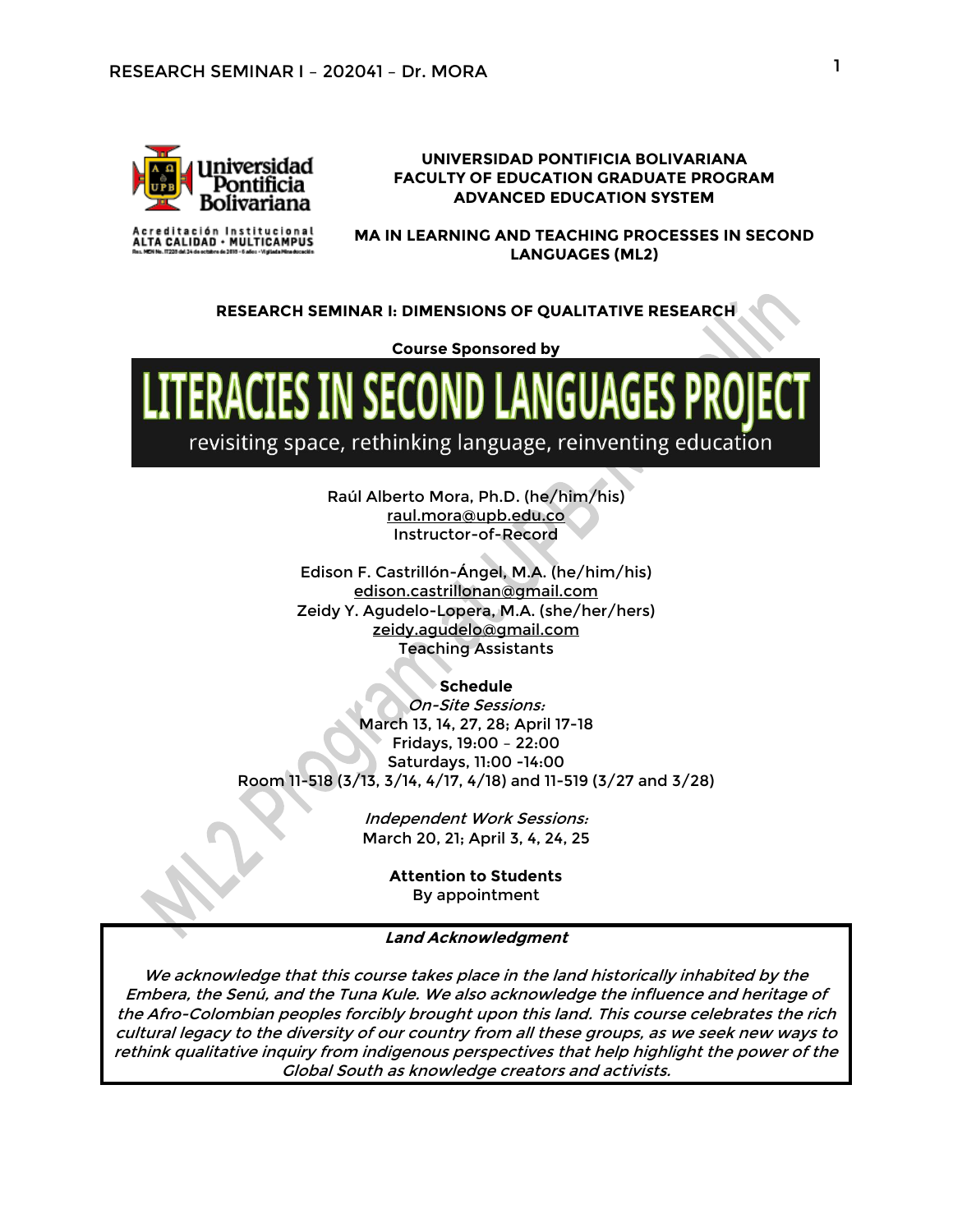

# **UNIVERSIDAD PONTIFICIA BOLIVARIANA FACULTY OF EDUCATION GRADUATE PROGRAM ADVANCED EDUCATION SYSTEM**

**MA IN LEARNING AND TEACHING PROCESSES IN SECOND LANGUAGES (ML2)**

#### **RESEARCH SEMINAR I: DIMENSIONS OF QUALITATIVE RESEARCH**

**Course Sponsored by**



Raúl Alberto Mora, Ph.D. (he/him/his) [raul.mora@upb.edu.co](mailto:raul.mora@upb.edu.co) Instructor-of-Record

Edison F. Castrillón-Ángel, M.A. (he/him/his) [edison.castrillonan@gmail.com](mailto:edison.castrillonan@gmail.com) Zeidy Y. Agudelo-Lopera, M.A. (she/her/hers) [zeidy.agudelo@gmail.com](mailto:zeidy.agudelo@gmail.com) Teaching Assistants

**Schedule**

On-Site Sessions: March 13, 14, 27, 28; April 17-18 Fridays, 19:00 – 22:00 Saturdays, 11:00 -14:00 Room 11-518 (3/13, 3/14, 4/17, 4/18) and 11-519 (3/27 and 3/28)

> Independent Work Sessions: March 20, 21; April 3, 4, 24, 25

> > **Attention to Students** By appointment

**Land Acknowledgment**

We acknowledge that this course takes place in the land historically inhabited by the Embera, the Senú, and the Tuna Kule. We also acknowledge the influence and heritage of the Afro-Colombian peoples forcibly brought upon this land. This course celebrates the rich cultural legacy to the diversity of our country from all these groups, as we seek new ways to rethink qualitative inquiry from indigenous perspectives that help highlight the power of the Global South as knowledge creators and activists.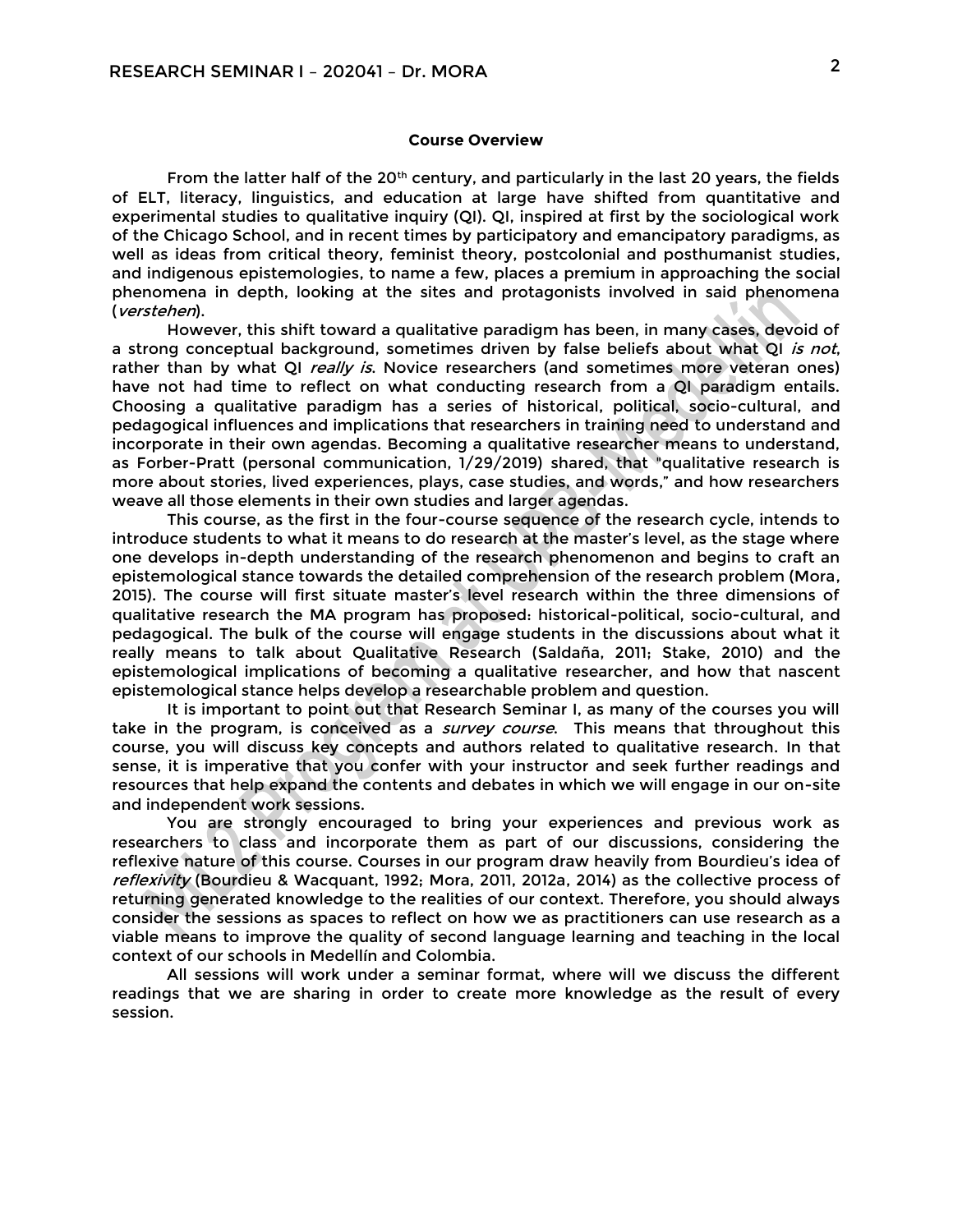#### **Course Overview**

From the latter half of the 20<sup>th</sup> century, and particularly in the last 20 years, the fields of ELT, literacy, linguistics, and education at large have shifted from quantitative and experimental studies to qualitative inquiry (QI). QI, inspired at first by the sociological work of the Chicago School, and in recent times by participatory and emancipatory paradigms, as well as ideas from critical theory, feminist theory, postcolonial and posthumanist studies, and indigenous epistemologies, to name a few, places a premium in approaching the social phenomena in depth, looking at the sites and protagonists involved in said phenomena (verstehen).

However, this shift toward a qualitative paradigm has been, in many cases, devoid of a strong conceptual background, sometimes driven by false beliefs about what QI is not, rather than by what QI really is. Novice researchers (and sometimes more veteran ones) have not had time to reflect on what conducting research from a QI paradigm entails. Choosing a qualitative paradigm has a series of historical, political, socio-cultural, and pedagogical influences and implications that researchers in training need to understand and incorporate in their own agendas. Becoming a qualitative researcher means to understand, as Forber-Pratt (personal communication, 1/29/2019) shared, that "qualitative research is more about stories, lived experiences, plays, case studies, and words," and how researchers weave all those elements in their own studies and larger agendas.

This course, as the first in the four-course sequence of the research cycle, intends to introduce students to what it means to do research at the master's level, as the stage where one develops in-depth understanding of the research phenomenon and begins to craft an epistemological stance towards the detailed comprehension of the research problem (Mora, 2015). The course will first situate master's level research within the three dimensions of qualitative research the MA program has proposed: historical-political, socio-cultural, and pedagogical. The bulk of the course will engage students in the discussions about what it really means to talk about Qualitative Research (Saldaña, 2011; Stake, 2010) and the epistemological implications of becoming a qualitative researcher, and how that nascent epistemological stance helps develop a researchable problem and question.

It is important to point out that Research Seminar I, as many of the courses you will take in the program, is conceived as a *survey course*. This means that throughout this course, you will discuss key concepts and authors related to qualitative research. In that sense, it is imperative that you confer with your instructor and seek further readings and resources that help expand the contents and debates in which we will engage in our on-site and independent work sessions.

You are strongly encouraged to bring your experiences and previous work as researchers to class and incorporate them as part of our discussions, considering the reflexive nature of this course. Courses in our program draw heavily from Bourdieu's idea of reflexivity (Bourdieu & Wacquant, 1992; Mora, 2011, 2012a, 2014) as the collective process of returning generated knowledge to the realities of our context. Therefore, you should always consider the sessions as spaces to reflect on how we as practitioners can use research as a viable means to improve the quality of second language learning and teaching in the local context of our schools in Medellín and Colombia.

All sessions will work under a seminar format, where will we discuss the different readings that we are sharing in order to create more knowledge as the result of every session.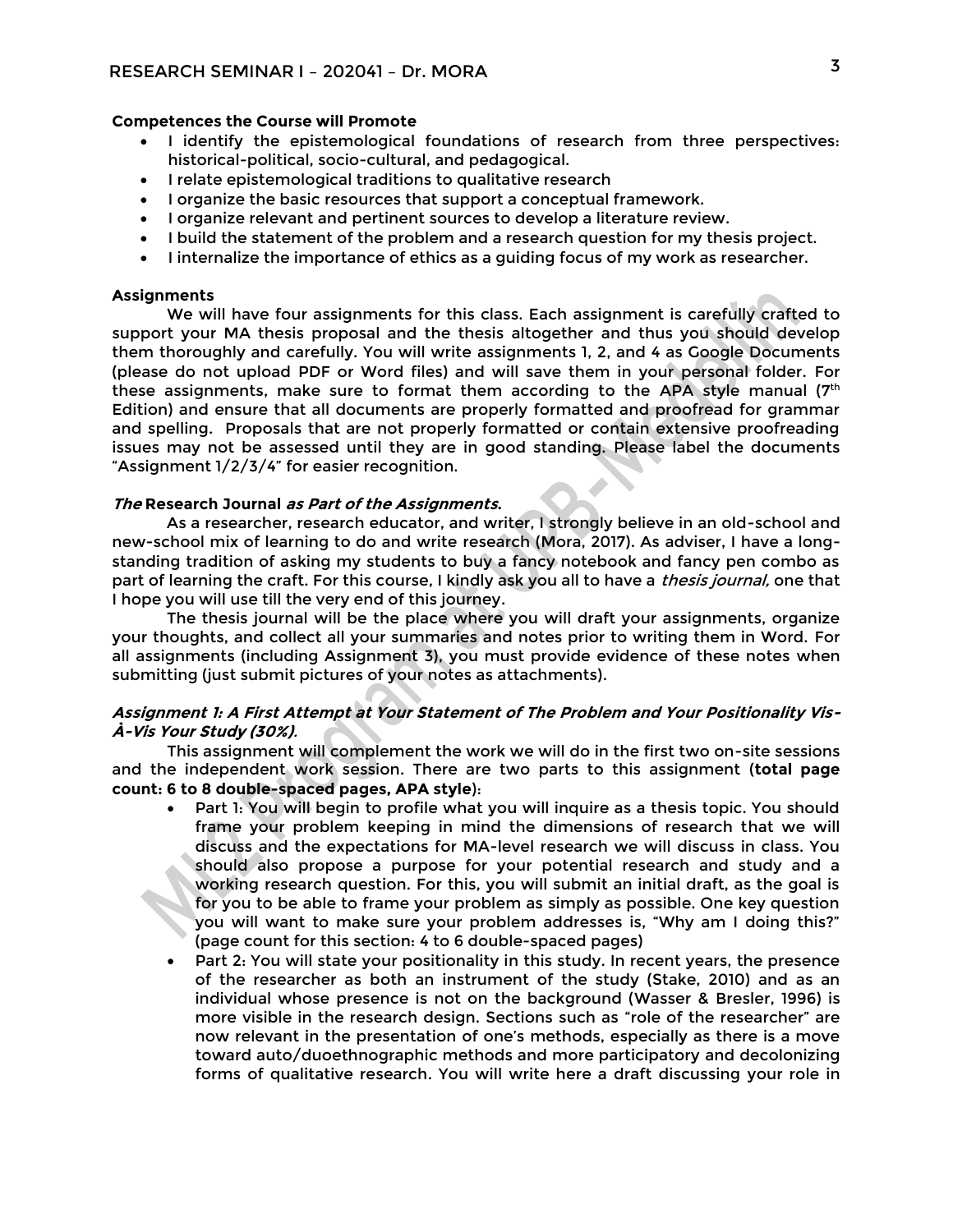### **Competences the Course will Promote**

- I identify the epistemological foundations of research from three perspectives: historical-political, socio-cultural, and pedagogical.
- I relate epistemological traditions to qualitative research
- I organize the basic resources that support a conceptual framework.
- I organize relevant and pertinent sources to develop a literature review.
- I build the statement of the problem and a research question for my thesis project.
- I internalize the importance of ethics as a guiding focus of my work as researcher.

#### **Assignments**

We will have four assignments for this class. Each assignment is carefully crafted to support your MA thesis proposal and the thesis altogether and thus you should develop them thoroughly and carefully. You will write assignments 1, 2, and 4 as Google Documents (please do not upload PDF or Word files) and will save them in your personal folder. For these assignments, make sure to format them according to the APA style manual (7th Edition) and ensure that all documents are properly formatted and proofread for grammar and spelling. Proposals that are not properly formatted or contain extensive proofreading issues may not be assessed until they are in good standing. Please label the documents "Assignment 1/2/3/4" for easier recognition.

### **The Research Journal as Part of the Assignments.**

As a researcher, research educator, and writer, I strongly believe in an old-school and new-school mix of learning to do and write research (Mora, 2017). As adviser, I have a longstanding tradition of asking my students to buy a fancy notebook and fancy pen combo as part of learning the craft. For this course, I kindly ask you all to have a thesis journal, one that I hope you will use till the very end of this journey.

The thesis journal will be the place where you will draft your assignments, organize your thoughts, and collect all your summaries and notes prior to writing them in Word. For all assignments (including Assignment 3), you must provide evidence of these notes when submitting (just submit pictures of your notes as attachments).

# **Assignment 1: A First Attempt at Your Statement of The Problem and Your Positionality Vis-À-Vis Your Study (30%)**.

This assignment will complement the work we will do in the first two on-site sessions and the independent work session. There are two parts to this assignment (**total page count: 6 to 8 double-spaced pages, APA style**):

- Part 1: You will begin to profile what you will inquire as a thesis topic. You should frame your problem keeping in mind the dimensions of research that we will discuss and the expectations for MA-level research we will discuss in class. You should also propose a purpose for your potential research and study and a working research question. For this, you will submit an initial draft, as the goal is for you to be able to frame your problem as simply as possible. One key question you will want to make sure your problem addresses is, "Why am I doing this?" (page count for this section: 4 to 6 double-spaced pages)
- Part 2: You will state your positionality in this study. In recent years, the presence of the researcher as both an instrument of the study (Stake, 2010) and as an individual whose presence is not on the background (Wasser & Bresler, 1996) is more visible in the research design. Sections such as "role of the researcher" are now relevant in the presentation of one's methods, especially as there is a move toward auto/duoethnographic methods and more participatory and decolonizing forms of qualitative research. You will write here a draft discussing your role in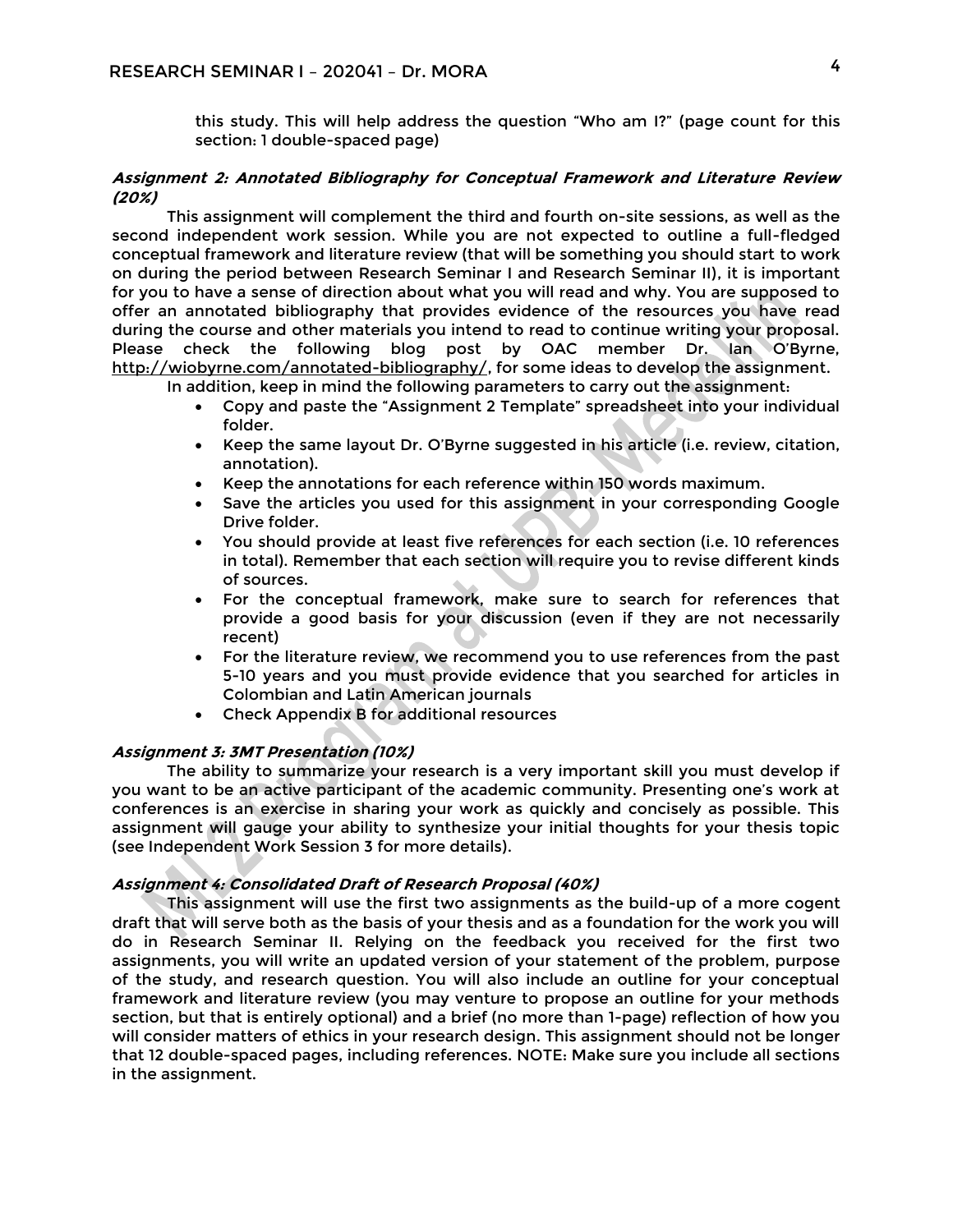this study. This will help address the question "Who am I?" (page count for this section: 1 double-spaced page)

# **Assignment 2: Annotated Bibliography for Conceptual Framework and Literature Review (20%)**

This assignment will complement the third and fourth on-site sessions, as well as the second independent work session. While you are not expected to outline a full-fledged conceptual framework and literature review (that will be something you should start to work on during the period between Research Seminar I and Research Seminar II), it is important for you to have a sense of direction about what you will read and why. You are supposed to offer an annotated bibliography that provides evidence of the resources you have read during the course and other materials you intend to read to continue writing your proposal. Please check the following blog post by OAC member Dr. Ian O'Byrne, [http://wiobyrne.com/annotated-bibliography/,](http://wiobyrne.com/annotated-bibliography/) for some ideas to develop the assignment.

In addition, keep in mind the following parameters to carry out the assignment:

- Copy and paste the "Assignment 2 Template" spreadsheet into your individual folder.
- Keep the same layout Dr. O'Byrne suggested in his article (i.e. review, citation, annotation).
- Keep the annotations for each reference within 150 words maximum.
- Save the articles you used for this assignment in your corresponding Google Drive folder.
- You should provide at least five references for each section (i.e. 10 references in total). Remember that each section will require you to revise different kinds of sources.
- For the conceptual framework, make sure to search for references that provide a good basis for your discussion (even if they are not necessarily recent)
- For the literature review, we recommend you to use references from the past 5-10 years and you must provide evidence that you searched for articles in Colombian and Latin American journals
- Check Appendix B for additional resources

## **Assignment 3: 3MT Presentation (10%)**

The ability to summarize your research is a very important skill you must develop if you want to be an active participant of the academic community. Presenting one's work at conferences is an exercise in sharing your work as quickly and concisely as possible. This assignment will gauge your ability to synthesize your initial thoughts for your thesis topic (see Independent Work Session 3 for more details).

#### **Assignment 4: Consolidated Draft of Research Proposal (40%)**

This assignment will use the first two assignments as the build-up of a more cogent draft that will serve both as the basis of your thesis and as a foundation for the work you will do in Research Seminar II. Relying on the feedback you received for the first two assignments, you will write an updated version of your statement of the problem, purpose of the study, and research question. You will also include an outline for your conceptual framework and literature review (you may venture to propose an outline for your methods section, but that is entirely optional) and a brief (no more than 1-page) reflection of how you will consider matters of ethics in your research design. This assignment should not be longer that 12 double-spaced pages, including references. NOTE: Make sure you include all sections in the assignment.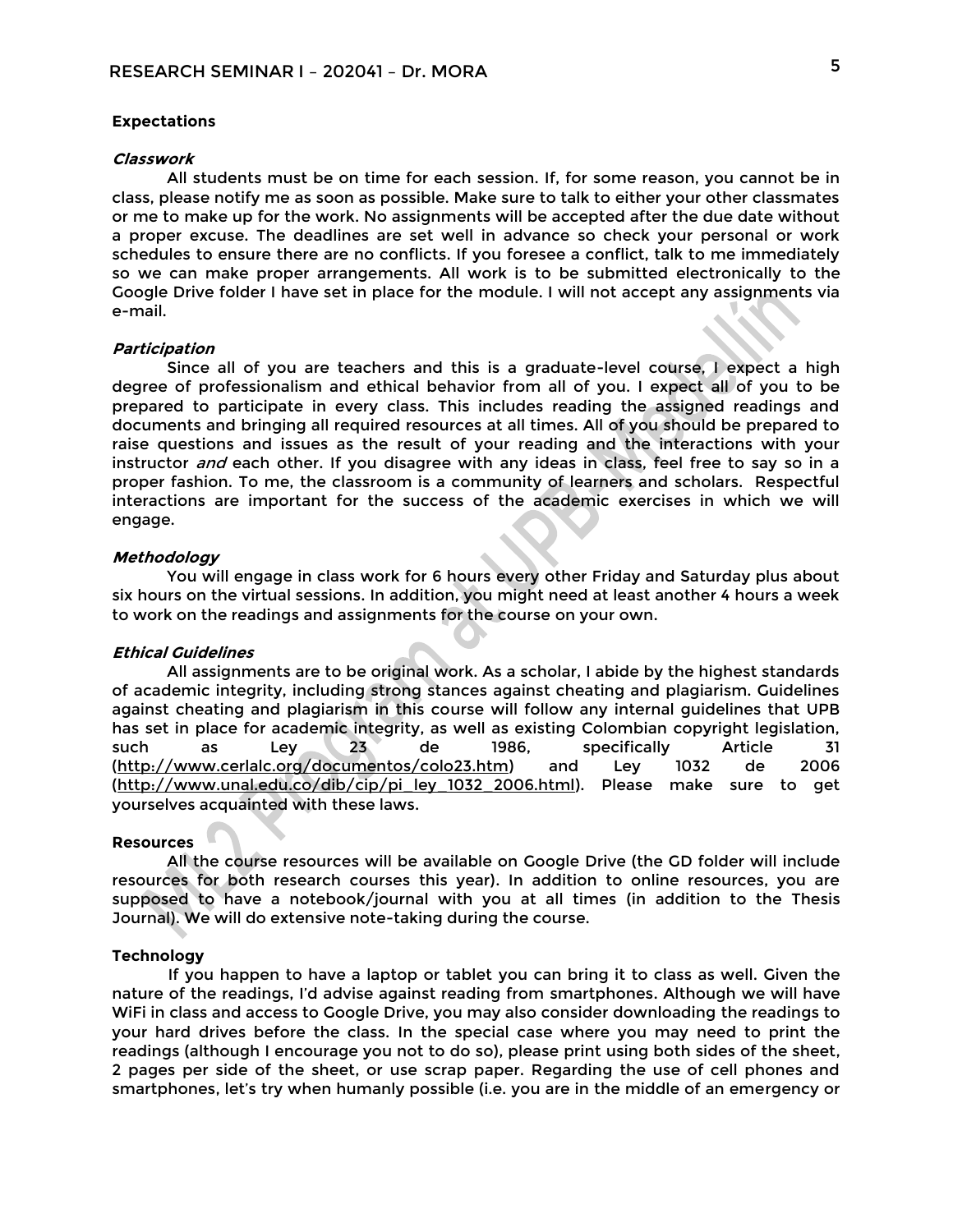#### **Expectations**

#### **Classwork**

All students must be on time for each session. If, for some reason, you cannot be in class, please notify me as soon as possible. Make sure to talk to either your other classmates or me to make up for the work. No assignments will be accepted after the due date without a proper excuse. The deadlines are set well in advance so check your personal or work schedules to ensure there are no conflicts. If you foresee a conflict, talk to me immediately so we can make proper arrangements. All work is to be submitted electronically to the Google Drive folder I have set in place for the module. I will not accept any assignments via e-mail.

#### **Participation**

Since all of you are teachers and this is a graduate-level course, I expect a high degree of professionalism and ethical behavior from all of you. I expect all of you to be prepared to participate in every class. This includes reading the assigned readings and documents and bringing all required resources at all times. All of you should be prepared to raise questions and issues as the result of your reading and the interactions with your instructor *and* each other. If you disagree with any ideas in class, feel free to say so in a proper fashion. To me, the classroom is a community of learners and scholars. Respectful interactions are important for the success of the academic exercises in which we will engage.

#### **Methodology**

You will engage in class work for 6 hours every other Friday and Saturday plus about six hours on the virtual sessions. In addition, you might need at least another 4 hours a week to work on the readings and assignments for the course on your own.

#### **Ethical Guidelines**

All assignments are to be original work. As a scholar, I abide by the highest standards of academic integrity, including strong stances against cheating and plagiarism. Guidelines against cheating and plagiarism in this course will follow any internal guidelines that UPB has set in place for academic integrity, as well as existing Colombian copyright legislation, such as Ley 23 de 1986, specifically Article 31 [\(http://www.cerlalc.org/documentos/colo23.htm\)](http://www.cerlalc.org/documentos/colo23.htm) and Ley 1032 de 2006 [\(http://www.unal.edu.co/dib/cip/pi\\_ley\\_1032\\_2006.html\)](http://www.unal.edu.co/dib/cip/pi_ley_1032_2006.html). Please make sure to get yourselves acquainted with these laws.

#### **Resources**

All the course resources will be available on Google Drive (the GD folder will include resources for both research courses this year). In addition to online resources, you are supposed to have a notebook/journal with you at all times (in addition to the Thesis Journal). We will do extensive note-taking during the course.

#### **Technology**

If you happen to have a laptop or tablet you can bring it to class as well. Given the nature of the readings, I'd advise against reading from smartphones. Although we will have WiFi in class and access to Google Drive, you may also consider downloading the readings to your hard drives before the class. In the special case where you may need to print the readings (although I encourage you not to do so), please print using both sides of the sheet, 2 pages per side of the sheet, or use scrap paper. Regarding the use of cell phones and smartphones, let's try when humanly possible (i.e. you are in the middle of an emergency or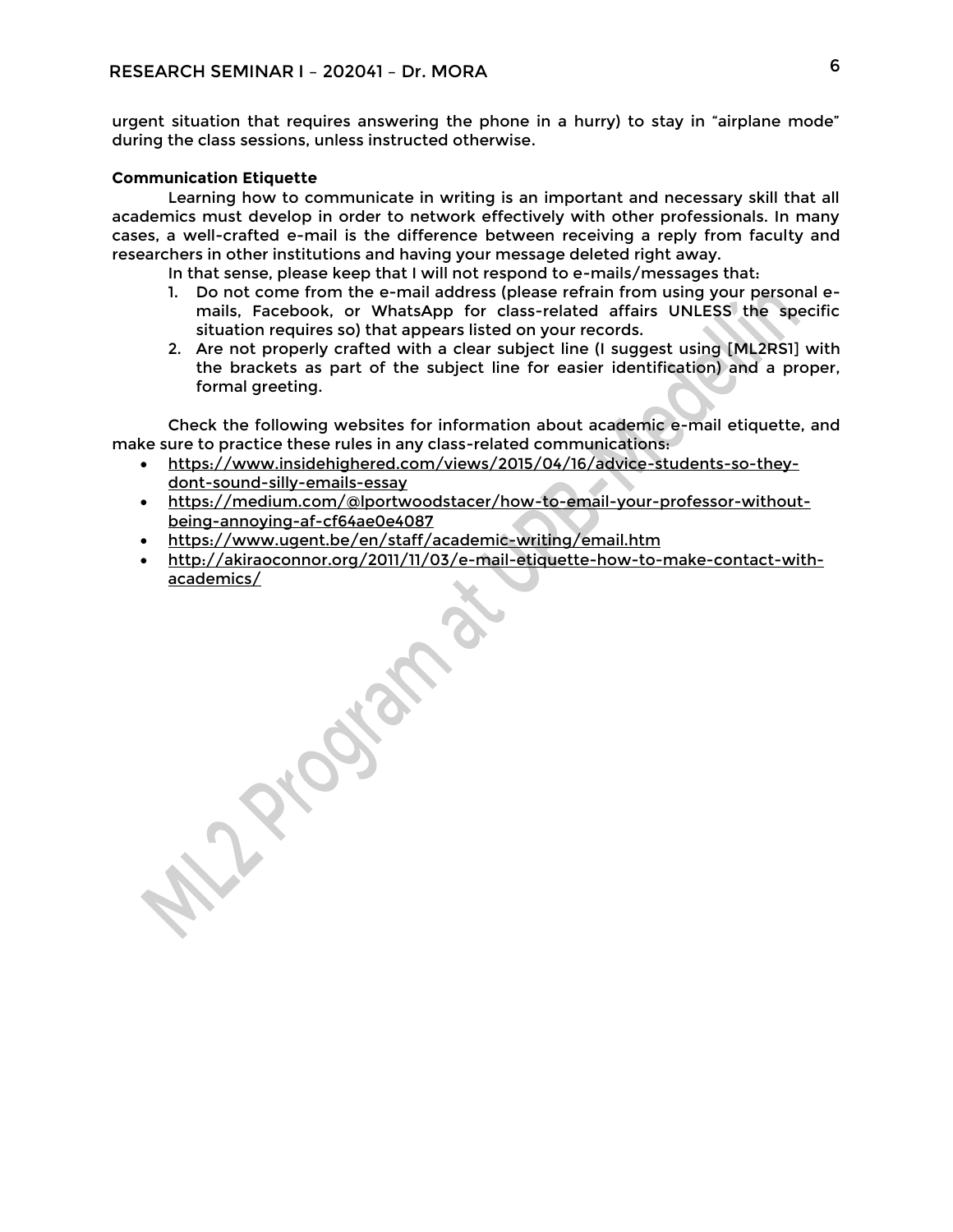urgent situation that requires answering the phone in a hurry) to stay in "airplane mode" during the class sessions, unless instructed otherwise.

# **Communication Etiquette**

Learning how to communicate in writing is an important and necessary skill that all academics must develop in order to network effectively with other professionals. In many cases, a well-crafted e-mail is the difference between receiving a reply from faculty and researchers in other institutions and having your message deleted right away.

In that sense, please keep that I will not respond to e-mails/messages that:

- 1. Do not come from the e-mail address (please refrain from using your personal emails, Facebook, or WhatsApp for class-related affairs UNLESS the specific situation requires so) that appears listed on your records.
- 2. Are not properly crafted with a clear subject line (I suggest using [ML2RS1] with the brackets as part of the subject line for easier identification) and a proper, formal greeting.

Check the following websites for information about academic e-mail etiquette, and make sure to practice these rules in any class-related communications:

- [https://www.insidehighered.com/views/2015/04/16/advice-students-so-they](https://www.insidehighered.com/views/2015/04/16/advice-students-so-they-dont-sound-silly-emails-essay)[dont-sound-silly-emails-essay](https://www.insidehighered.com/views/2015/04/16/advice-students-so-they-dont-sound-silly-emails-essay)
- [https://medium.com/@lportwoodstacer/how-to-email-your-professor-without](https://medium.com/@lportwoodstacer/how-to-email-your-professor-without-being-annoying-af-cf64ae0e4087)[being-annoying-af-cf64ae0e4087](https://medium.com/@lportwoodstacer/how-to-email-your-professor-without-being-annoying-af-cf64ae0e4087)
- <https://www.ugent.be/en/staff/academic-writing/email.htm>
- [http://akiraoconnor.org/2011/11/03/e-mail-etiquette-how-to-make-contact-with](http://akiraoconnor.org/2011/11/03/e-mail-etiquette-how-to-make-contact-with-academics/)[academics/](http://akiraoconnor.org/2011/11/03/e-mail-etiquette-how-to-make-contact-with-academics/)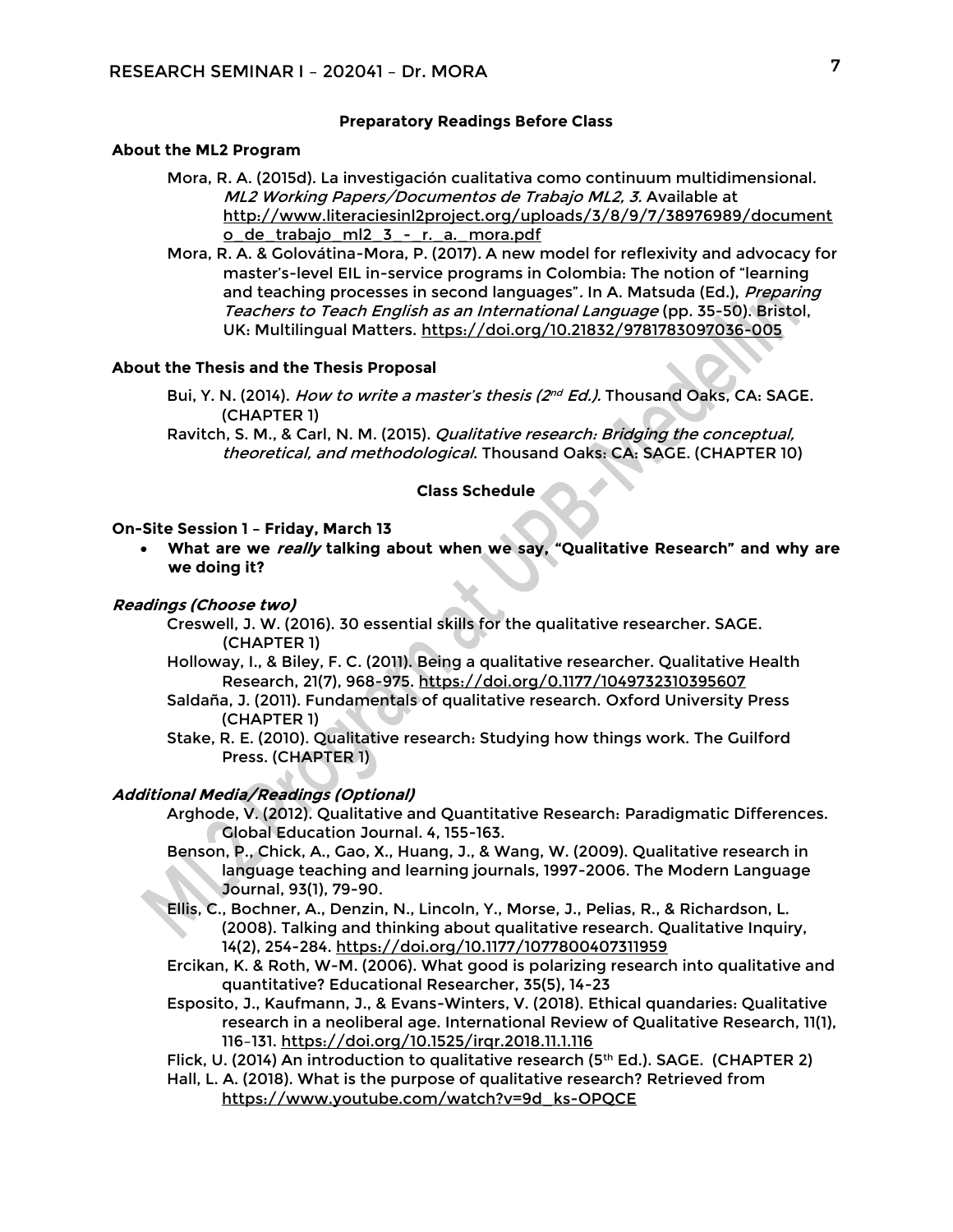### **Preparatory Readings Before Class**

### **About the ML2 Program**

- Mora, R. A. (2015d). La investigación cualitativa como continuum multidimensional. ML2 Working Papers/Documentos de Trabajo ML2, 3. Available at [http://www.literaciesinl2project.org/uploads/3/8/9/7/38976989/document](http://www.literaciesinl2project.org/uploads/3/8/9/7/38976989/documento_de_trabajo_ml2_3_-_r._a._mora.pdf) o de trabajo ml2 3 - r. a. mora.pdf
- Mora, R. A. & Golovátina-Mora, P. (2017). A new model for reflexivity and advocacy for master's-level EIL in-service programs in Colombia: The notion of "learning and teaching processes in second languages". In A. Matsuda (Ed.), Preparing Teachers to Teach English as an International Language (pp. 35-50). Bristol, UK: Multilingual Matters. <https://doi.org/10.21832/9781783097036-005>

### **About the Thesis and the Thesis Proposal**

- Bui, Y. N. (2014). *How to write a master's thesis (2<sup>nd</sup> Ed.).* Thousand Oaks, CA: SAGE. (CHAPTER 1)
- Ravitch, S. M., & Carl, N. M. (2015). Qualitative research: Bridging the conceptual, theoretical, and methodological. Thousand Oaks: CA: SAGE. (CHAPTER 10)

#### **Class Schedule**

#### **On-Site Session 1 – Friday, March 13**

• **What are we really talking about when we say, "Qualitative Research" and why are we doing it?**

#### **Readings (Choose two)**

- Creswell, J. W. (2016). 30 essential skills for the qualitative researcher. SAGE. (CHAPTER 1)
- Holloway, I., & Biley, F. C. (2011). Being a qualitative researcher. Qualitative Health Research, 21(7), 968-975.<https://doi.org/0.1177/1049732310395607>
- Saldaña, J. (2011). Fundamentals of qualitative research. Oxford University Press (CHAPTER 1)
- Stake, R. E. (2010). Qualitative research: Studying how things work. The Guilford Press. (CHAPTER 1)

# **Additional Media/Readings (Optional)**

- Arghode, V. (2012). Qualitative and Quantitative Research: Paradigmatic Differences. Global Education Journal. 4, 155-163.
- Benson, P., Chick, A., Gao, X., Huang, J., & Wang, W. (2009). Qualitative research in language teaching and learning journals, 1997-2006. The Modern Language Journal, 93(1), 79-90.
- Ellis, C., Bochner, A., Denzin, N., Lincoln, Y., Morse, J., Pelias, R., & Richardson, L. (2008). Talking and thinking about qualitative research. Qualitative Inquiry, 14(2), 254-284.<https://doi.org/10.1177/1077800407311959>
- Ercikan, K. & Roth, W-M. (2006). What good is polarizing research into qualitative and quantitative? Educational Researcher, 35(5), 14-23
- Esposito, J., Kaufmann, J., & Evans-Winters, V. (2018). Ethical quandaries: Qualitative research in a neoliberal age. International Review of Qualitative Research, 11(1), 116–131.<https://doi.org/10.1525/irqr.2018.11.1.116>
- Flick, U. (2014) An introduction to qualitative research (5<sup>th</sup> Ed.). SAGE. (CHAPTER 2)
- Hall, L. A. (2018). What is the purpose of qualitative research? Retrieved from [https://www.youtube.com/watch?v=9d\\_ks-OPQCE](https://www.youtube.com/watch?v=9d_ks-OPQCE)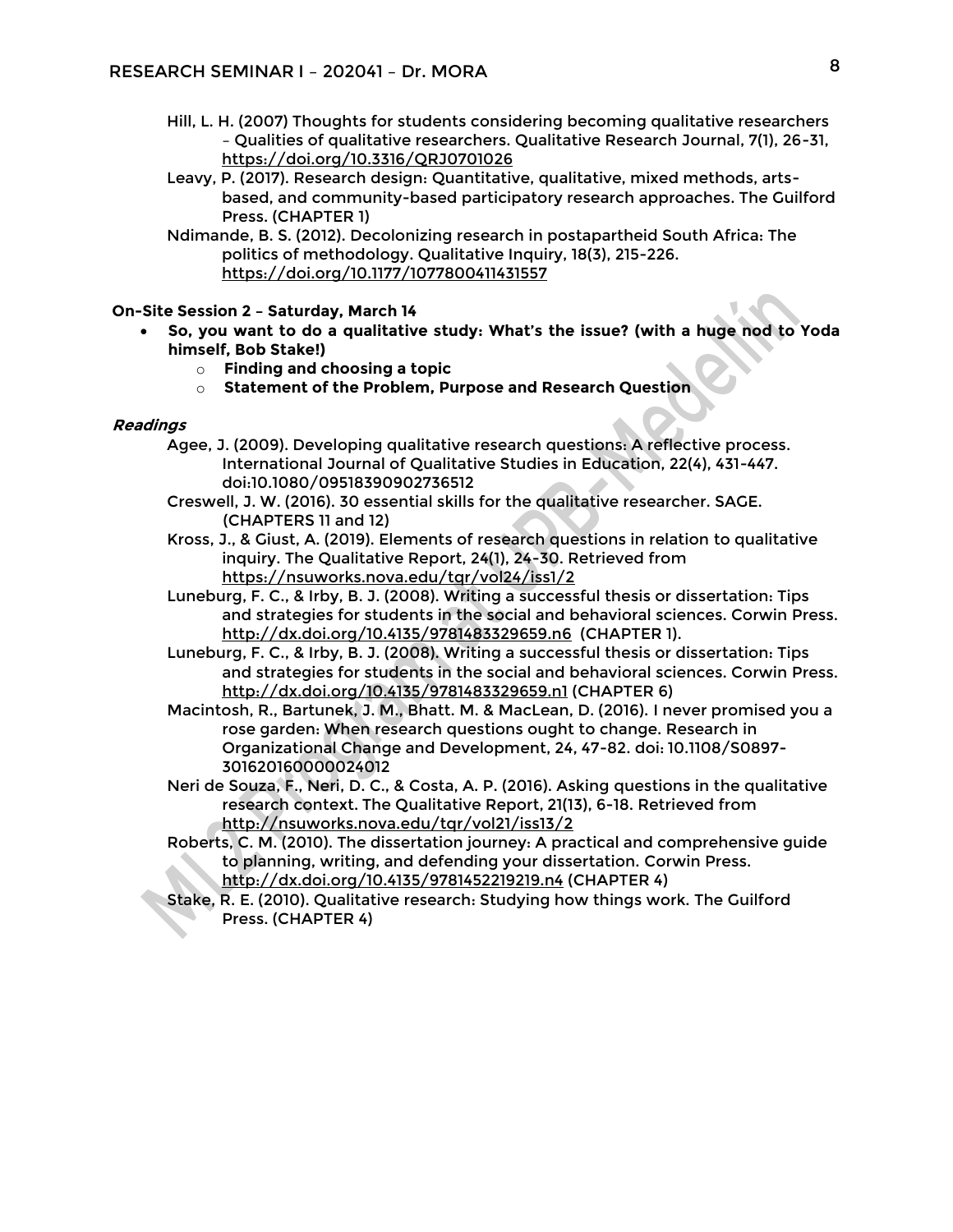- Hill, L. H. (2007) Thoughts for students considering becoming qualitative researchers – Qualities of qualitative researchers. Qualitative Research Journal, 7(1), 26-31, <https://doi.org/10.3316/QRJ0701026>
- Leavy, P. (2017). Research design: Quantitative, qualitative, mixed methods, artsbased, and community-based participatory research approaches. The Guilford Press. (CHAPTER 1)
- Ndimande, B. S. (2012). Decolonizing research in postapartheid South Africa: The politics of methodology. Qualitative Inquiry, 18(3), 215-226. <https://doi.org/10.1177/1077800411431557>

# **On-Site Session 2 – Saturday, March 14**

- **So, you want to do a qualitative study: What's the issue? (with a huge nod to Yoda himself, Bob Stake!)**
	- o **Finding and choosing a topic**
	- o **Statement of the Problem, Purpose and Research Question**

#### **Readings**

- Agee, J. (2009). Developing qualitative research questions: A reflective process. International Journal of Qualitative Studies in Education, 22(4), 431-447. doi:10.1080/09518390902736512
- Creswell, J. W. (2016). 30 essential skills for the qualitative researcher. SAGE. (CHAPTERS 11 and 12)
- Kross, J., & Giust, A. (2019). Elements of research questions in relation to qualitative inquiry. The Qualitative Report, 24(1), 24-30. Retrieved from <https://nsuworks.nova.edu/tqr/vol24/iss1/2>
- Luneburg, F. C., & Irby, B. J. (2008). Writing a successful thesis or dissertation: Tips and strategies for students in the social and behavioral sciences. Corwin Press. <http://dx.doi.org/10.4135/9781483329659.n6> (CHAPTER 1).
- Luneburg, F. C., & Irby, B. J. (2008). Writing a successful thesis or dissertation: Tips and strategies for students in the social and behavioral sciences. Corwin Press. <http://dx.doi.org/10.4135/9781483329659.n1> (CHAPTER 6)
- Macintosh, R., Bartunek, J. M., Bhatt. M. & MacLean, D. (2016). I never promised you a rose garden: When research questions ought to change. Research in Organizational Change and Development, 24, 47-82. doi: 10.1108/S0897- 301620160000024012
- Neri de Souza, F., Neri, D. C., & Costa, A. P. (2016). Asking questions in the qualitative research context. The Qualitative Report, 21(13), 6-18. Retrieved from <http://nsuworks.nova.edu/tqr/vol21/iss13/2>
- Roberts, C. M. (2010). The dissertation journey: A practical and comprehensive guide to planning, writing, and defending your dissertation. Corwin Press. <http://dx.doi.org/10.4135/9781452219219.n4> (CHAPTER 4)
- Stake, R. E. (2010). Qualitative research: Studying how things work. The Guilford Press. (CHAPTER 4)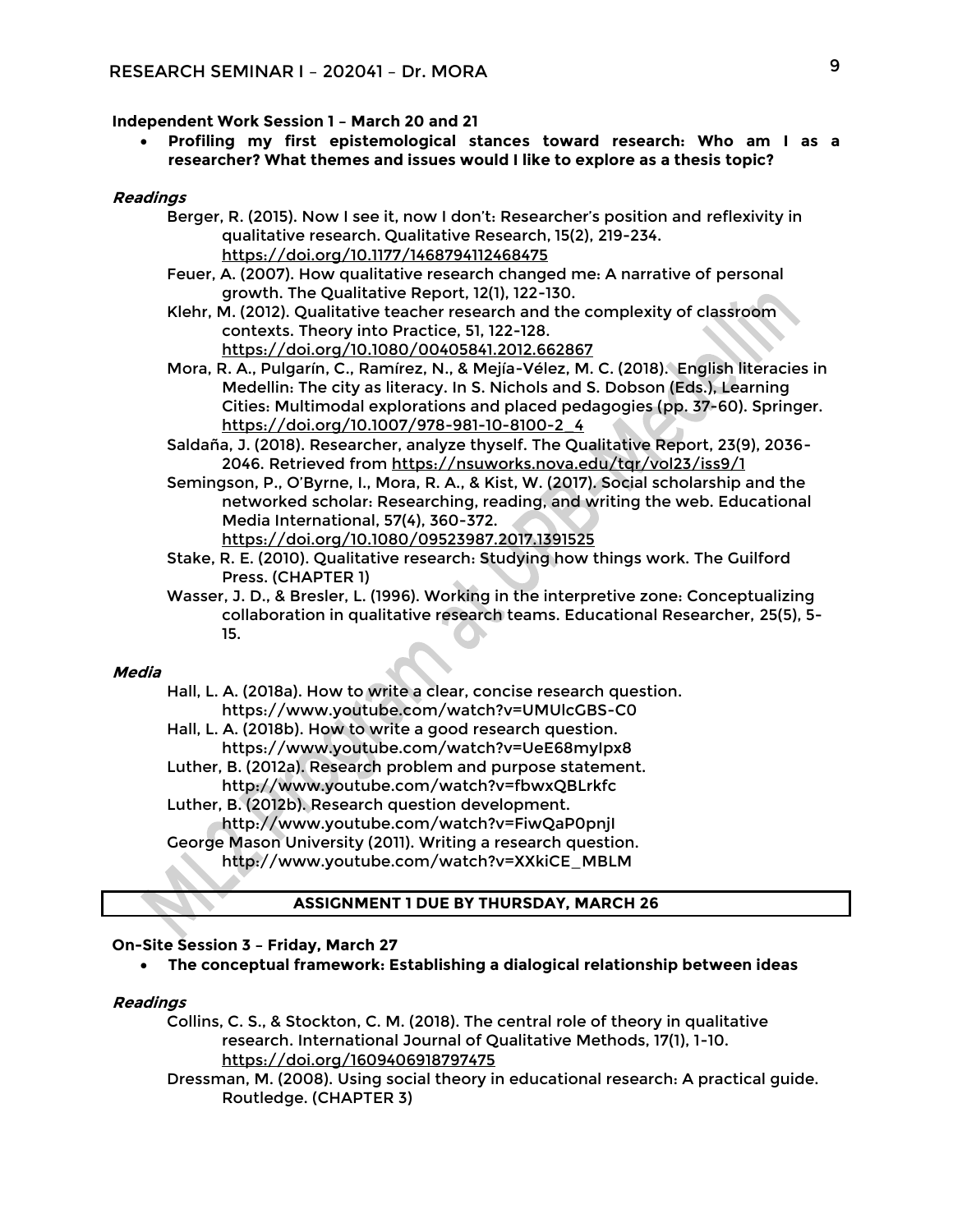#### **Independent Work Session 1 – March 20 and 21**

• **Profiling my first epistemological stances toward research: Who am I as a researcher? What themes and issues would I like to explore as a thesis topic?**

#### **Readings**

- Berger, R. (2015). Now I see it, now I don't: Researcher's position and reflexivity in qualitative research. Qualitative Research, 15(2), 219-234. <https://doi.org/10.1177/1468794112468475>
- Feuer, A. (2007). How qualitative research changed me: A narrative of personal growth. The Qualitative Report, 12(1), 122-130.
- Klehr, M. (2012). Qualitative teacher research and the complexity of classroom contexts. Theory into Practice, 51, 122-128. <https://doi.org/10.1080/00405841.2012.662867>
- Mora, R. A., Pulgarín, C., Ramírez, N., & Mejía-Vélez, M. C. (2018). English literacies in Medellin: The city as literacy. In S. Nichols and S. Dobson (Eds.), Learning Cities: Multimodal explorations and placed pedagogies (pp. 37-60). Springer. [https://doi.org/10.1007/978-981-10-8100-2\\_4](https://doi.org/10.1007/978-981-10-8100-2_4)
- Saldaña, J. (2018). Researcher, analyze thyself. The Qualitative Report, 23(9), 2036- 2046. Retrieved from<https://nsuworks.nova.edu/tqr/vol23/iss9/1>
- Semingson, P., O'Byrne, I., Mora, R. A., & Kist, W. (2017). Social scholarship and the networked scholar: Researching, reading, and writing the web. Educational Media International, 57(4), 360-372. <https://doi.org/10.1080/09523987.2017.1391525>
- Stake, R. E. (2010). Qualitative research: Studying how things work. The Guilford
	- Press. (CHAPTER 1)
- Wasser, J. D., & Bresler, L. (1996). Working in the interpretive zone: Conceptualizing collaboration in qualitative research teams. Educational Researcher, 25(5), 5- 15.

#### **Media**

Hall, L. A. (2018a). How to write a clear, concise research question. https://www.youtube.com/watch?v=UMUlcGBS-C0 Hall, L. A. (2018b). How to write a good research question. https://www.youtube.com/watch?v=UeE68myIpx8 Luther, B. (2012a). Research problem and purpose statement. <http://www.youtube.com/watch?v=fbwxQBLrkfc> Luther, B. (2012b). Research question development. <http://www.youtube.com/watch?v=FiwQaP0pnjI> George Mason University (2011). Writing a research question. [http://www.youtube.com/watch?v=XXkiCE\\_MBLM](http://www.youtube.com/watch?v=XXkiCE_MBLM) 

#### **ASSIGNMENT 1 DUE BY THURSDAY, MARCH 26**

#### **On-Site Session 3 – Friday, March 27**

• **The conceptual framework: Establishing a dialogical relationship between ideas**

# **Readings**

Collins, C. S., & Stockton, C. M. (2018). The central role of theory in qualitative research. International Journal of Qualitative Methods, 17(1), 1-10. <https://doi.org/1609406918797475>

Dressman, M. (2008). Using social theory in educational research: A practical guide. Routledge. (CHAPTER 3)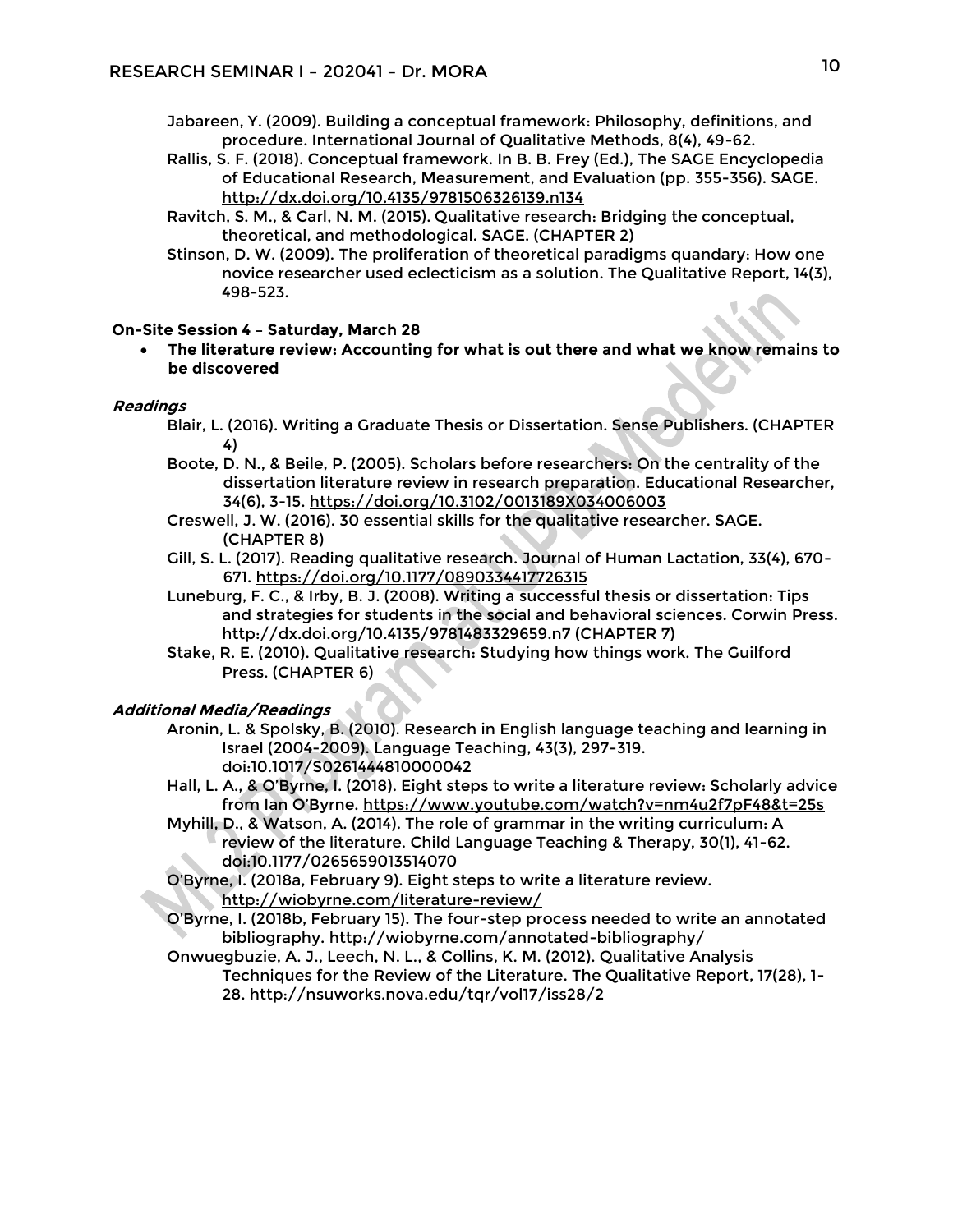- Jabareen, Y. (2009). Building a conceptual framework: Philosophy, definitions, and procedure. International Journal of Qualitative Methods, 8(4), 49-62.
- Rallis, S. F. (2018). Conceptual framework. In B. B. Frey (Ed.), The SAGE Encyclopedia of Educational Research, Measurement, and Evaluation (pp. 355-356). SAGE. <http://dx.doi.org/10.4135/9781506326139.n134>
- Ravitch, S. M., & Carl, N. M. (2015). Qualitative research: Bridging the conceptual, theoretical, and methodological. SAGE. (CHAPTER 2)
- Stinson, D. W. (2009). The proliferation of theoretical paradigms quandary: How one novice researcher used eclecticism as a solution. The Qualitative Report, 14(3), 498-523.

## **On-Site Session 4 – Saturday, March 28**

• **The literature review: Accounting for what is out there and what we know remains to be discovered**

#### **Readings**

- Blair, L. (2016). Writing a Graduate Thesis or Dissertation. Sense Publishers. (CHAPTER 4)
- Boote, D. N., & Beile, P. (2005). Scholars before researchers: On the centrality of the dissertation literature review in research preparation. Educational Researcher, 34(6), 3-15.<https://doi.org/10.3102/0013189X034006003>
- Creswell, J. W. (2016). 30 essential skills for the qualitative researcher. SAGE. (CHAPTER 8)
- Gill, S. L. (2017). Reading qualitative research. Journal of Human Lactation, 33(4), 670- 671.<https://doi.org/10.1177/0890334417726315>
- Luneburg, F. C., & Irby, B. J. (2008). Writing a successful thesis or dissertation: Tips and strategies for students in the social and behavioral sciences. Corwin Press. <http://dx.doi.org/10.4135/9781483329659.n7> (CHAPTER 7)
- Stake, R. E. (2010). Qualitative research: Studying how things work. The Guilford Press. (CHAPTER 6)

## **Additional Media/Readings**

- Aronin, L. & Spolsky, B. (2010). Research in English language teaching and learning in Israel (2004-2009). Language Teaching, 43(3), 297-319. doi:10.1017/S0261444810000042
- Hall, L. A., & O'Byrne, I. (2018). Eight steps to write a literature review: Scholarly advice from Ian O'Byrne. <https://www.youtube.com/watch?v=nm4u2f7pF48&t=25s>
- Myhill, D., & Watson, A. (2014). The role of grammar in the writing curriculum: A review of the literature. Child Language Teaching & Therapy, 30(1), 41-62. doi:10.1177/0265659013514070
- O'Byrne, I. (2018a, February 9). Eight steps to write a literature review. <http://wiobyrne.com/literature-review/>
- O'Byrne, I. (2018b, February 15). The four-step process needed to write an annotated bibliography.<http://wiobyrne.com/annotated-bibliography/>
- Onwuegbuzie, A. J., Leech, N. L., & Collins, K. M. (2012). Qualitative Analysis Techniques for the Review of the Literature. The Qualitative Report, 17(28), 1- 28.<http://nsuworks.nova.edu/tqr/vol17/iss28/2>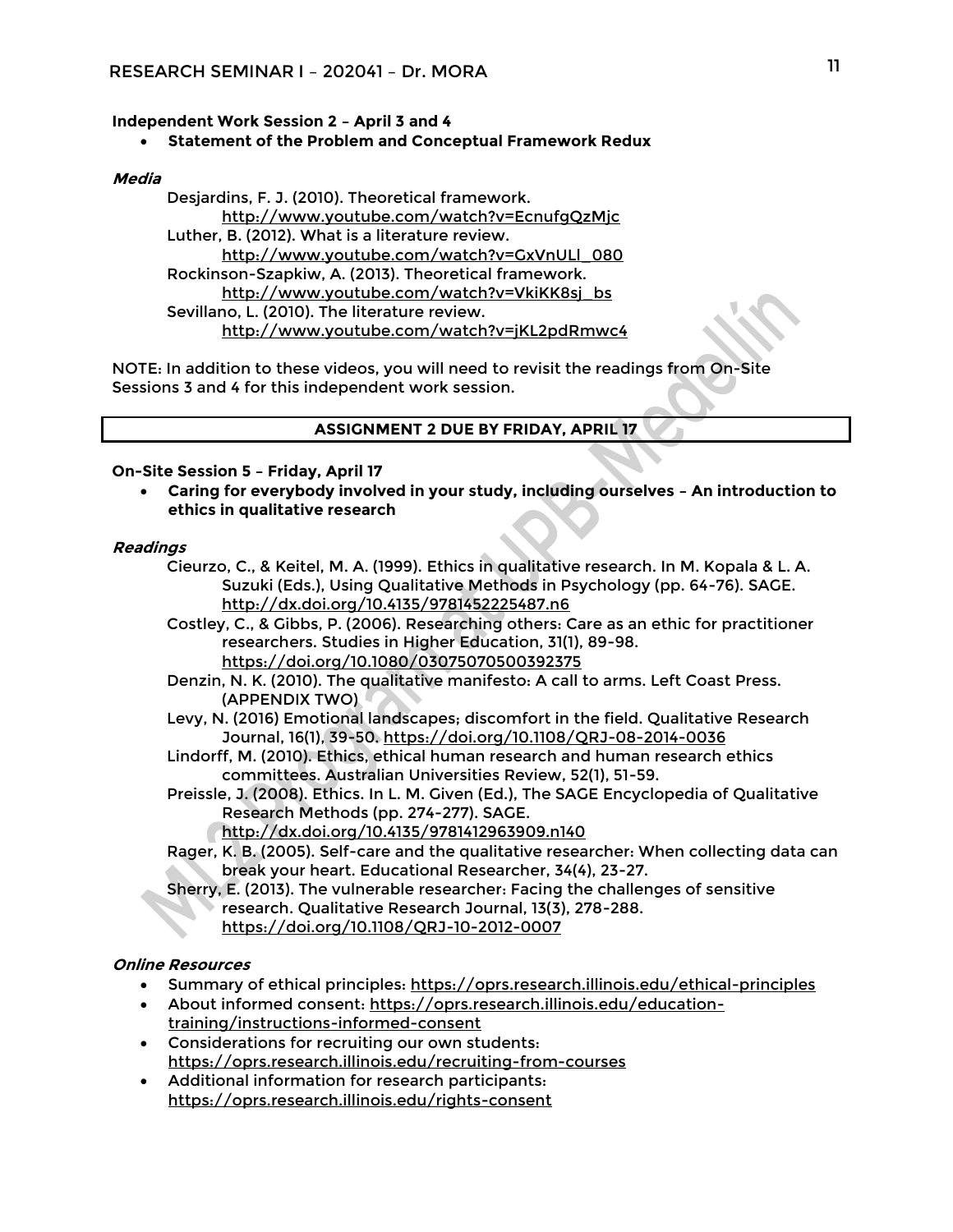### **Independent Work Session 2 – April 3 and 4**

## • **Statement of the Problem and Conceptual Framework Redux**

# **Media**

Desjardins, F. J. (2010). Theoretical framework. <http://www.youtube.com/watch?v=EcnufgQzMjc> Luther, B. (2012). What is a literature review. [http://www.youtube.com/watch?v=GxVnULl\\_080](http://www.youtube.com/watch?v=GxVnULl_080) Rockinson-Szapkiw, A. (2013). Theoretical framework. [http://www.youtube.com/watch?v=VkiKK8sj\\_bs](http://www.youtube.com/watch?v=VkiKK8sj_bs) Sevillano, L. (2010). The literature review. <http://www.youtube.com/watch?v=jKL2pdRmwc4>

NOTE: In addition to these videos, you will need to revisit the readings from On-Site Sessions 3 and 4 for this independent work session.

#### **ASSIGNMENT 2 DUE BY FRIDAY, APRIL 17**

#### **On-Site Session 5 – Friday, April 17**

• **Caring for everybody involved in your study, including ourselves – An introduction to ethics in qualitative research**

# **Readings**

- Cieurzo, C., & Keitel, M. A. (1999). Ethics in qualitative research. In M. Kopala & L. A. Suzuki (Eds.), Using Qualitative Methods in Psychology (pp. 64-76). SAGE. <http://dx.doi.org/10.4135/9781452225487.n6>
- Costley, C., & Gibbs, P. (2006). Researching others: Care as an ethic for practitioner researchers. Studies in Higher Education, 31(1), 89-98. <https://doi.org/10.1080/03075070500392375>
- Denzin, N. K. (2010). The qualitative manifesto: A call to arms. Left Coast Press. (APPENDIX TWO)
- Levy, N. (2016) Emotional landscapes; discomfort in the field. Qualitative Research Journal, 16(1), 39-50.<https://doi.org/10.1108/QRJ-08-2014-0036>
- Lindorff, M. (2010). Ethics, ethical human research and human research ethics committees. Australian Universities Review, 52(1), 51-59.
- Preissle, J. (2008). Ethics. In L. M. Given (Ed.), The SAGE Encyclopedia of Qualitative Research Methods (pp. 274-277). SAGE.
	- <http://dx.doi.org/10.4135/9781412963909.n140>
- Rager, K. B. (2005). Self-care and the qualitative researcher: When collecting data can break your heart. Educational Researcher, 34(4), 23-27.
- Sherry, E. (2013). The vulnerable researcher: Facing the challenges of sensitive research. Qualitative Research Journal, 13(3), 278-288. <https://doi.org/10.1108/QRJ-10-2012-0007>

## **Online Resources**

- Summary of ethical principles:<https://oprs.research.illinois.edu/ethical-principles>
- About informed consent: [https://oprs.research.illinois.edu/education](https://oprs.research.illinois.edu/education-training/instructions-informed-consent)[training/instructions-informed-consent](https://oprs.research.illinois.edu/education-training/instructions-informed-consent)
- Considerations for recruiting our own students: <https://oprs.research.illinois.edu/recruiting-from-courses>
- Additional information for research participants: <https://oprs.research.illinois.edu/rights-consent>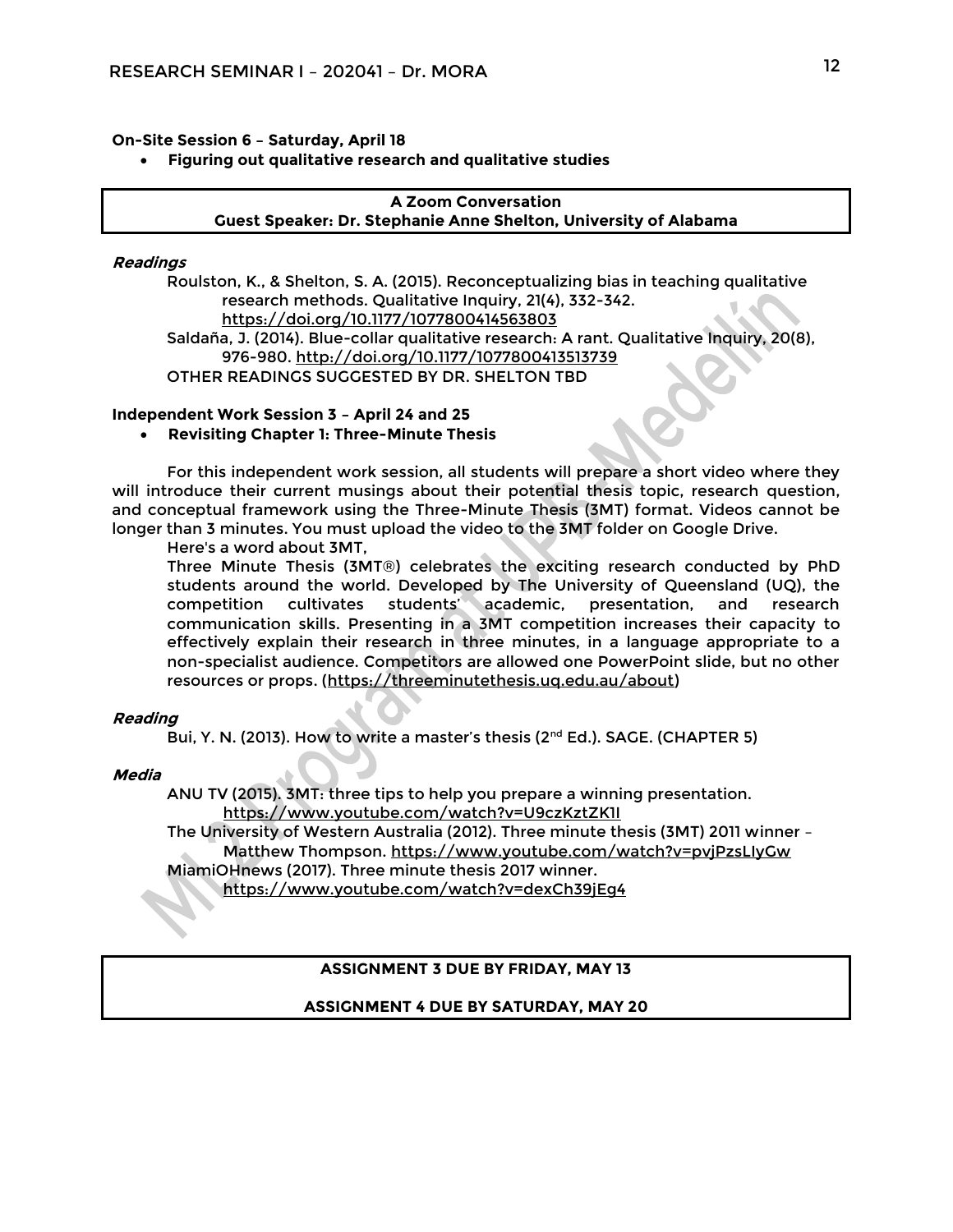### **On-Site Session 6 – Saturday, April 18**

• **Figuring out qualitative research and qualitative studies**

# **A Zoom Conversation Guest Speaker: Dr. Stephanie Anne Shelton, University of Alabama**

#### **Readings**

Roulston, K., & Shelton, S. A. (2015). Reconceptualizing bias in teaching qualitative research methods. Qualitative Inquiry, 21(4), 332-342. <https://doi.org/10.1177/1077800414563803> Saldaña, J. (2014). Blue-collar qualitative research: A rant. Qualitative Inquiry, 20(8), 976-980.<http://doi.org/10.1177/1077800413513739> OTHER READINGS SUGGESTED BY DR. SHELTON TBD

# **Independent Work Session 3 – April 24 and 25**

### • **Revisiting Chapter 1: Three-Minute Thesis**

For this independent work session, all students will prepare a short video where they will introduce their current musings about their potential thesis topic, research question, and conceptual framework using the Three-Minute Thesis (3MT) format. Videos cannot be longer than 3 minutes. You must upload the video to the 3MT folder on Google Drive.

Here's a word about 3MT,

Three Minute Thesis (3MT®) celebrates the exciting research conducted by PhD students around the world. Developed by The University of Queensland (UQ), the competition cultivates students' academic, presentation, and research communication skills. Presenting in a 3MT competition increases their capacity to effectively explain their research in three minutes, in a language appropriate to a non-specialist audience. Competitors are allowed one PowerPoint slide, but no other resources or props. [\(https://threeminutethesis.uq.edu.au/about\)](https://threeminutethesis.uq.edu.au/about)

#### **Reading**

Bui, Y. N. (2013). How to write a master's thesis (2<sup>nd</sup> Ed.). SAGE. (CHAPTER 5)

#### **Media**

ANU TV (2015). 3MT: three tips to help you prepare a winning presentation. <https://www.youtube.com/watch?v=U9czKztZK1I>

The University of Western Australia (2012). Three minute thesis (3MT) 2011 winner – Matthew Thompson.<https://www.youtube.com/watch?v=pvjPzsLIyGw>

MiamiOHnews (2017). Three minute thesis 2017 winner.

<https://www.youtube.com/watch?v=dexCh39jEg4>

# **ASSIGNMENT 3 DUE BY FRIDAY, MAY 13**

# **ASSIGNMENT 4 DUE BY SATURDAY, MAY 20**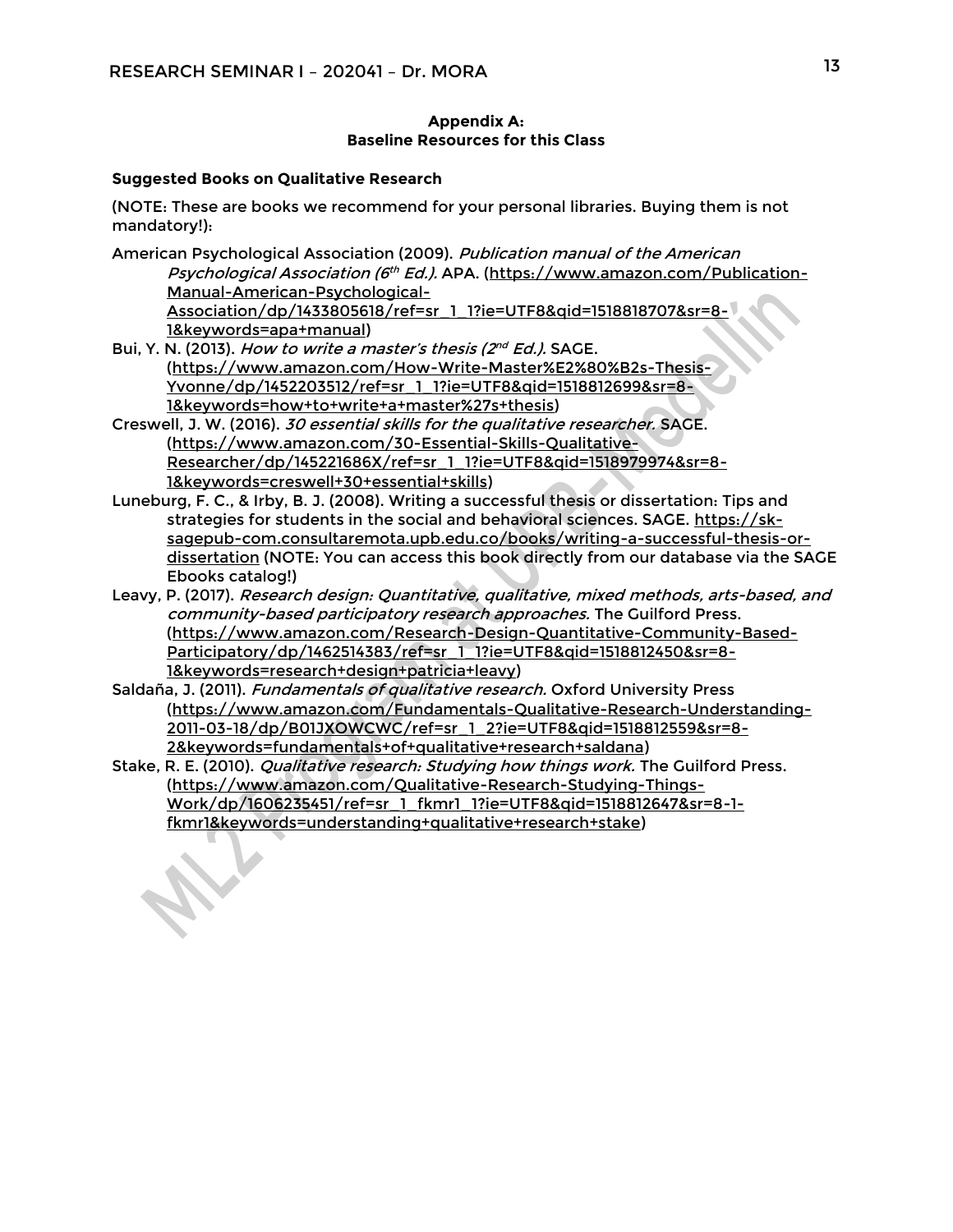# **Appendix A: Baseline Resources for this Class**

# **Suggested Books on Qualitative Research**

(NOTE: These are books we recommend for your personal libraries. Buying them is not mandatory!):

- American Psychological Association (2009). Publication manual of the American *Psychological Association (6<sup>th</sup> Ed.).* APA. <u>(https://www.amazon.com/Publication-</u> [Manual-American-Psychological-](https://www.amazon.com/Publication-Manual-American-Psychological-Association/dp/1433805618/ref=sr_1_1?ie=UTF8&qid=1518818707&sr=8-1&keywords=apa+manual)[Association/dp/1433805618/ref=sr\\_1\\_1?ie=UTF8&qid=1518818707&sr=8-](https://www.amazon.com/Publication-Manual-American-Psychological-Association/dp/1433805618/ref=sr_1_1?ie=UTF8&qid=1518818707&sr=8-1&keywords=apa+manual) [1&keywords=apa+manual\)](https://www.amazon.com/Publication-Manual-American-Psychological-Association/dp/1433805618/ref=sr_1_1?ie=UTF8&qid=1518818707&sr=8-1&keywords=apa+manual)
- Bui, Y. N. (2013). *How to write a master's thesis (2<sup>nd</sup> Ed.).* SAGE. [\(https://www.amazon.com/How-Write-Master%E2%80%B2s-Thesis-](https://www.amazon.com/How-Write-Master%E2%80%B2s-Thesis-Yvonne/dp/1452203512/ref=sr_1_1?ie=UTF8&qid=1518812699&sr=8-1&keywords=how+to+write+a+master%27s+thesis)[Yvonne/dp/1452203512/ref=sr\\_1\\_1?ie=UTF8&qid=1518812699&sr=8-](https://www.amazon.com/How-Write-Master%E2%80%B2s-Thesis-Yvonne/dp/1452203512/ref=sr_1_1?ie=UTF8&qid=1518812699&sr=8-1&keywords=how+to+write+a+master%27s+thesis) [1&keywords=how+to+write+a+master%27s+thesis\)](https://www.amazon.com/How-Write-Master%E2%80%B2s-Thesis-Yvonne/dp/1452203512/ref=sr_1_1?ie=UTF8&qid=1518812699&sr=8-1&keywords=how+to+write+a+master%27s+thesis)
- Creswell, J. W. (2016). 30 essential skills for the qualitative researcher. SAGE. [\(https://www.amazon.com/30-Essential-Skills-Qualitative-](https://www.amazon.com/30-Essential-Skills-Qualitative-Researcher/dp/145221686X/ref=sr_1_1?ie=UTF8&qid=1518979974&sr=8-1&keywords=creswell+30+essential+skills)[Researcher/dp/145221686X/ref=sr\\_1\\_1?ie=UTF8&qid=1518979974&sr=8-](https://www.amazon.com/30-Essential-Skills-Qualitative-Researcher/dp/145221686X/ref=sr_1_1?ie=UTF8&qid=1518979974&sr=8-1&keywords=creswell+30+essential+skills) [1&keywords=creswell+30+essential+skills\)](https://www.amazon.com/30-Essential-Skills-Qualitative-Researcher/dp/145221686X/ref=sr_1_1?ie=UTF8&qid=1518979974&sr=8-1&keywords=creswell+30+essential+skills)
- Luneburg, F. C., & Irby, B. J. (2008). Writing a successful thesis or dissertation: Tips and strategies for students in the social and behavioral sciences. SAGE. [https://sk](https://sk-sagepub-com.consultaremota.upb.edu.co/books/writing-a-successful-thesis-or-dissertation)[sagepub-com.consultaremota.upb.edu.co/books/writing-a-successful-thesis-or](https://sk-sagepub-com.consultaremota.upb.edu.co/books/writing-a-successful-thesis-or-dissertation)[dissertation](https://sk-sagepub-com.consultaremota.upb.edu.co/books/writing-a-successful-thesis-or-dissertation) (NOTE: You can access this book directly from our database via the SAGE Ebooks catalog!)
- Leavy, P. (2017). Research design: Quantitative, qualitative, mixed methods, arts-based, and community-based participatory research approaches. The Guilford Press. [\(https://www.amazon.com/Research-Design-Quantitative-Community-Based-](https://www.amazon.com/Research-Design-Quantitative-Community-Based-Participatory/dp/1462514383/ref=sr_1_1?ie=UTF8&qid=1518812450&sr=8-1&keywords=research+design+patricia+leavy)[Participatory/dp/1462514383/ref=sr\\_1\\_1?ie=UTF8&qid=1518812450&sr=8-](https://www.amazon.com/Research-Design-Quantitative-Community-Based-Participatory/dp/1462514383/ref=sr_1_1?ie=UTF8&qid=1518812450&sr=8-1&keywords=research+design+patricia+leavy) [1&keywords=research+design+patricia+leavy\)](https://www.amazon.com/Research-Design-Quantitative-Community-Based-Participatory/dp/1462514383/ref=sr_1_1?ie=UTF8&qid=1518812450&sr=8-1&keywords=research+design+patricia+leavy)
- Saldaña, J. (2011). Fundamentals of qualitative research. Oxford University Press [\(https://www.amazon.com/Fundamentals-Qualitative-Research-Understanding-](https://www.amazon.com/Fundamentals-Qualitative-Research-Understanding-2011-03-18/dp/B01JXOWCWC/ref=sr_1_2?ie=UTF8&qid=1518812559&sr=8-2&keywords=fundamentals+of+qualitative+research+saldana)[2011-03-18/dp/B01JXOWCWC/ref=sr\\_1\\_2?ie=UTF8&qid=1518812559&sr=8-](https://www.amazon.com/Fundamentals-Qualitative-Research-Understanding-2011-03-18/dp/B01JXOWCWC/ref=sr_1_2?ie=UTF8&qid=1518812559&sr=8-2&keywords=fundamentals+of+qualitative+research+saldana) [2&keywords=fundamentals+of+qualitative+research+saldana\)](https://www.amazon.com/Fundamentals-Qualitative-Research-Understanding-2011-03-18/dp/B01JXOWCWC/ref=sr_1_2?ie=UTF8&qid=1518812559&sr=8-2&keywords=fundamentals+of+qualitative+research+saldana)
- Stake, R. E. (2010). *Qualitative research: Studying how things work.* The Guilford Press. [\(https://www.amazon.com/Qualitative-Research-Studying-Things-](https://www.amazon.com/Qualitative-Research-Studying-Things-Work/dp/1606235451/ref=sr_1_fkmr1_1?ie=UTF8&qid=1518812647&sr=8-1-fkmr1&keywords=understanding+qualitative+research+stake)[Work/dp/1606235451/ref=sr\\_1\\_fkmr1\\_1?ie=UTF8&qid=1518812647&sr=8-1](https://www.amazon.com/Qualitative-Research-Studying-Things-Work/dp/1606235451/ref=sr_1_fkmr1_1?ie=UTF8&qid=1518812647&sr=8-1-fkmr1&keywords=understanding+qualitative+research+stake) [fkmr1&keywords=understanding+qualitative+research+stake\)](https://www.amazon.com/Qualitative-Research-Studying-Things-Work/dp/1606235451/ref=sr_1_fkmr1_1?ie=UTF8&qid=1518812647&sr=8-1-fkmr1&keywords=understanding+qualitative+research+stake)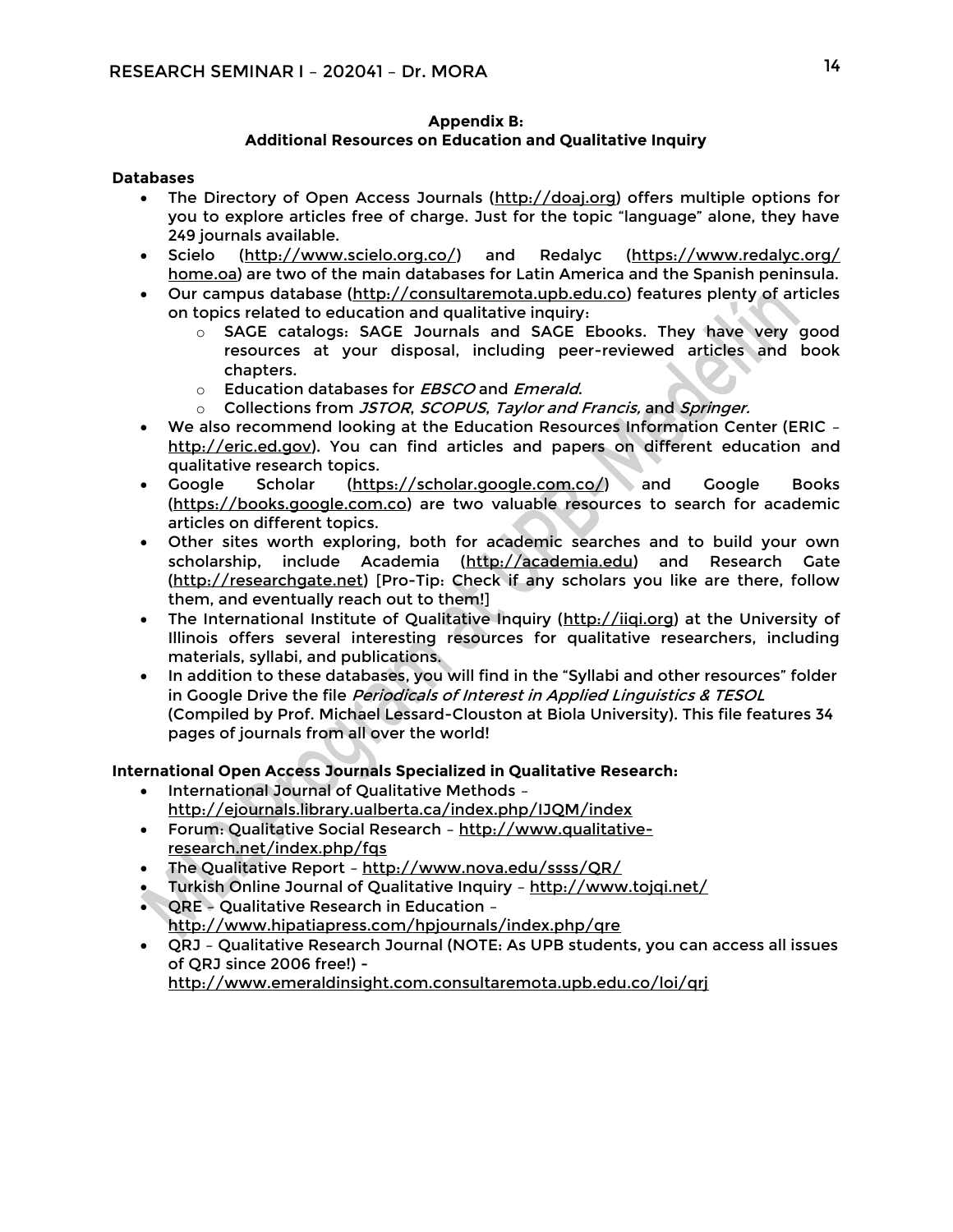# **Appendix B: Additional Resources on Education and Qualitative Inquiry**

### **Databases**

- The Directory of Open Access Journals [\(http://doaj.org\)](http://doaj.org/) offers multiple options for you to explore articles free of charge. Just for the topic "language" alone, they have 249 journals available.
- Scielo [\(http://www.scielo.org.co/\)](http://www.scielo.org.co/) and Redalyc [\(https://www.redalyc.org/](https://www.redalyc.org/home.oa) [home.oa\)](https://www.redalyc.org/home.oa) are two of the main databases for Latin America and the Spanish peninsula.
- Our campus database [\(http://consultaremota.upb.edu.co\)](http://consultaremota.upb.edu.co/) features plenty of articles on topics related to education and qualitative inquiry:
	- o SAGE catalogs: SAGE Journals and SAGE Ebooks. They have very good resources at your disposal, including peer-reviewed articles and book chapters.
	- o Education databases for *EBSCO* and *Emerald*.
	- o Collections from JSTOR, SCOPUS, Taylor and Francis, and Springer.
- We also recommend looking at the Education Resources Information Center (ERIC [http://eric.ed.gov\)](http://eric.ed.gov/). You can find articles and papers on different education and qualitative research topics.
- Google Scholar [\(https://scholar.google.com.co/\)](https://scholar.google.com.co/) and Google Books [\(https://books.google.com.co\)](https://books.google.com.co/) are two valuable resources to search for academic articles on different topics.
- Other sites worth exploring, both for academic searches and to build your own scholarship, include Academia [\(http://academia.edu\)](http://academia.edu/) and Research Gate [\(http://researchgate.net\)](http://researchgate.net/) [Pro-Tip: Check if any scholars you like are there, follow them, and eventually reach out to them!]
- The International Institute of Qualitative Inquiry [\(http://iiqi.org\)](http://iiqi.org/) at the University of Illinois offers several interesting resources for qualitative researchers, including materials, syllabi, and publications.
- In addition to these databases, you will find in the "Syllabi and other resources" folder in Google Drive the file *Periodicals of Interest in Applied Linguistics & TESOL* (Compiled by Prof. Michael Lessard-Clouston at Biola University). This file features 34 pages of journals from all over the world!

# **International Open Access Journals Specialized in Qualitative Research:**

- International Journal of Qualitative Methods <http://ejournals.library.ualberta.ca/index.php/IJQM/index>
- Forum: Qualitative Social Research [http://www.qualitative](http://www.qualitative-research.net/index.php/fqs)[research.net/index.php/fqs](http://www.qualitative-research.net/index.php/fqs)
- The Qualitative Report <http://www.nova.edu/ssss/QR/>
- Turkish Online Journal of Qualitative Inquiry <http://www.tojqi.net/>
- QRE Qualitative Research in Education <http://www.hipatiapress.com/hpjournals/index.php/qre>
- QRJ Qualitative Research Journal (NOTE: As UPB students, you can access all issues of QRJ since 2006 free!) <http://www.emeraldinsight.com.consultaremota.upb.edu.co/loi/qrj>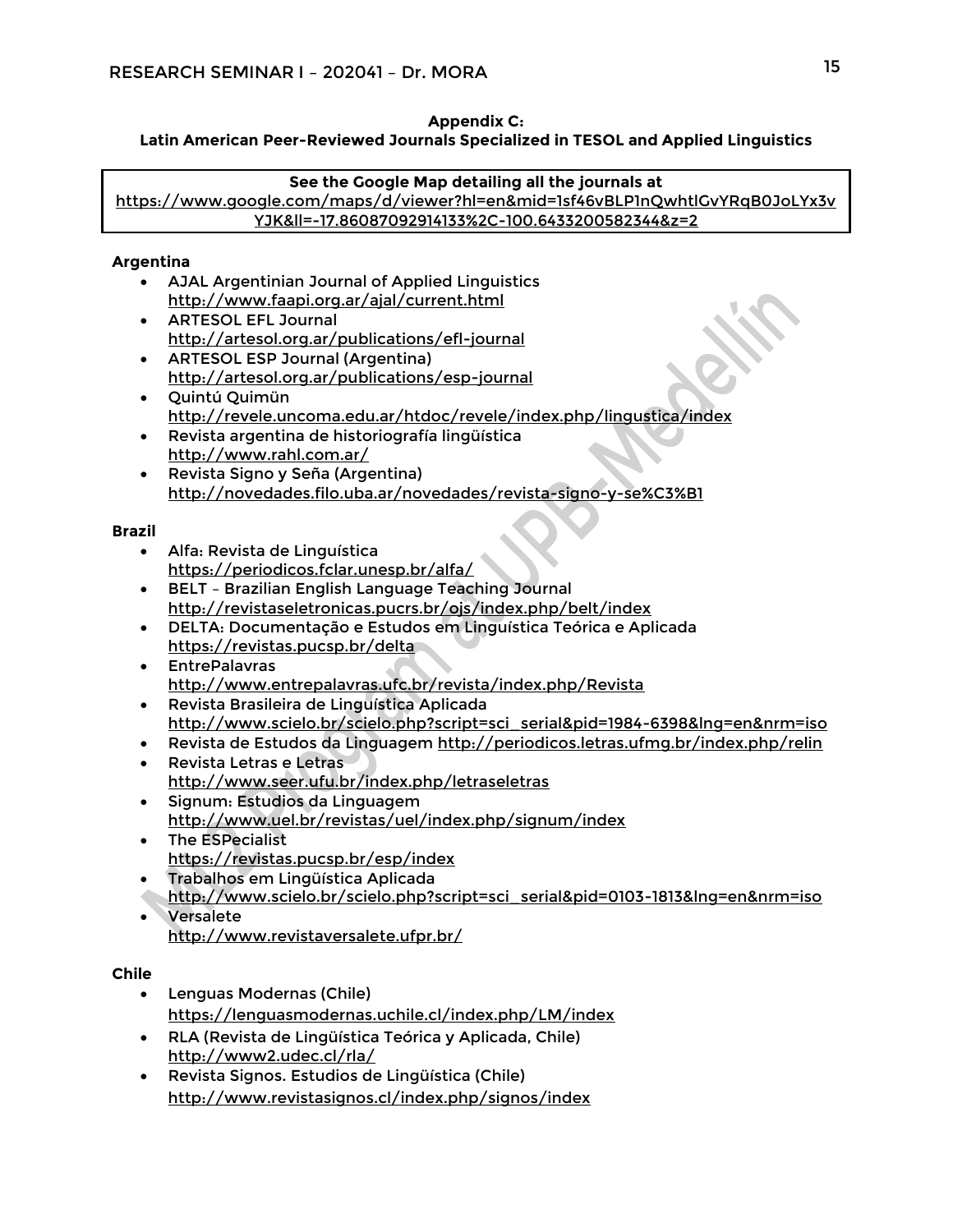# **Appendix C: Latin American Peer-Reviewed Journals Specialized in TESOL and Applied Linguistics**

**See the Google Map detailing all the journals at**  [https://www.google.com/maps/d/viewer?hl=en&mid=1sf46vBLP1nQwhtlGvYRqB0JoLYx3v](https://www.google.com/maps/d/viewer?hl=en&mid=1sf46vBLP1nQwhtlGvYRqB0JoLYx3vYJK&ll=-17.86087092914133%2C-100.6433200582344&z=2) [YJK&ll=-17.86087092914133%2C-100.6433200582344&z=2](https://www.google.com/maps/d/viewer?hl=en&mid=1sf46vBLP1nQwhtlGvYRqB0JoLYx3vYJK&ll=-17.86087092914133%2C-100.6433200582344&z=2)

# **Argentina**

- AJAL Argentinian Journal of Applied Linguistics <http://www.faapi.org.ar/ajal/current.html>
- ARTESOL EFL Journal <http://artesol.org.ar/publications/efl-journal>
- ARTESOL ESP Journal (Argentina) <http://artesol.org.ar/publications/esp-journal>
- Quintú Quimün <http://revele.uncoma.edu.ar/htdoc/revele/index.php/lingustica/index>
- Revista argentina de historiografía lingüística <http://www.rahl.com.ar/>
- Revista Signo y Seña (Argentina) <http://novedades.filo.uba.ar/novedades/revista-signo-y-se%C3%B1>

# **Brazil**

- Alfa: Revista de Linguística <https://periodicos.fclar.unesp.br/alfa/>
- BELT Brazilian English Language Teaching Journal <http://revistaseletronicas.pucrs.br/ojs/index.php/belt/index>
- DELTA: Documentação e Estudos em Linguística Teórica e Aplicada <https://revistas.pucsp.br/delta>
- EntrePalavras <http://www.entrepalavras.ufc.br/revista/index.php/Revista>
- Revista Brasileira de Linguística Aplicada [http://www.scielo.br/scielo.php?script=sci\\_serial&pid=1984-6398&lng=en&nrm=iso](http://www.scielo.br/scielo.php?script=sci_serial&pid=1984-6398&lng=en&nrm=iso)
- Revista de Estudos da Linguagem<http://periodicos.letras.ufmg.br/index.php/relin>
- Revista Letras e Letras <http://www.seer.ufu.br/index.php/letraseletras>
- Signum: Estudios da Linguagem <http://www.uel.br/revistas/uel/index.php/signum/index>
- The ESPecialist <https://revistas.pucsp.br/esp/index>
- Trabalhos em Lingüística Aplicada [http://www.scielo.br/scielo.php?script=sci\\_serial&pid=0103-1813&lng=en&nrm=iso](http://www.scielo.br/scielo.php?script=sci_serial&pid=0103-1813&lng=en&nrm=iso)
- Versalete <http://www.revistaversalete.ufpr.br/>

# **Chile**

- Lenguas Modernas (Chile) <https://lenguasmodernas.uchile.cl/index.php/LM/index>
- RLA (Revista de Lingüística Teórica y Aplicada, Chile) <http://www2.udec.cl/rla/>
- Revista Signos. Estudios de Lingüística (Chile) <http://www.revistasignos.cl/index.php/signos/index>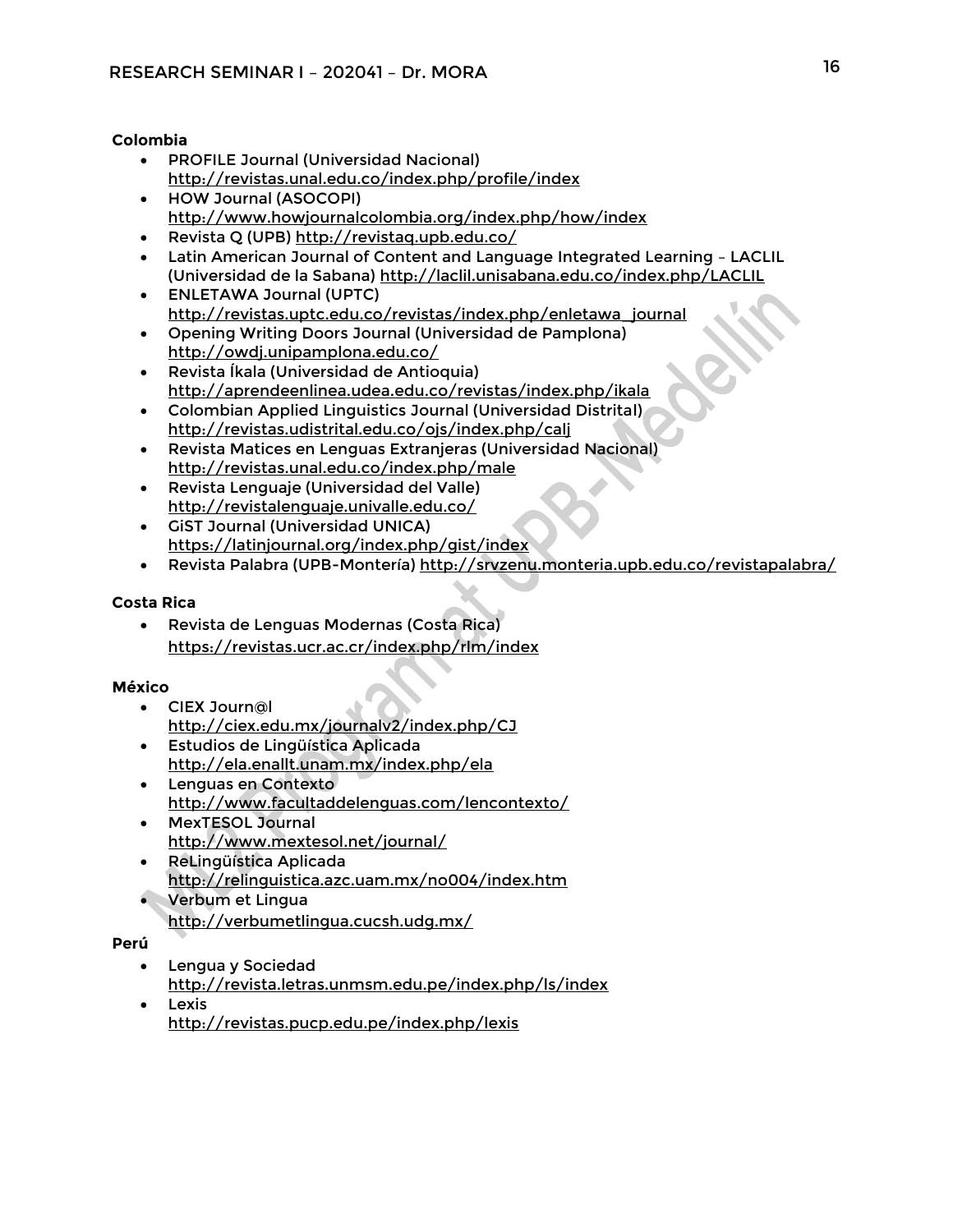# **Colombia**

- PROFILE Journal (Universidad Nacional) <http://revistas.unal.edu.co/index.php/profile/index>
- HOW Journal (ASOCOPI) <http://www.howjournalcolombia.org/index.php/how/index>
- Revista Q (UPB)<http://revistaq.upb.edu.co/>
- Latin American Journal of Content and Language Integrated Learning LACLIL (Universidad de la Sabana)<http://laclil.unisabana.edu.co/index.php/LACLIL>
- ENLETAWA Journal (UPTC) [http://revistas.uptc.edu.co/revistas/index.php/enletawa\\_journal](http://revistas.uptc.edu.co/revistas/index.php/enletawa_journal)
- Opening Writing Doors Journal (Universidad de Pamplona) <http://owdj.unipamplona.edu.co/>
- Revista Íkala (Universidad de Antioquia) <http://aprendeenlinea.udea.edu.co/revistas/index.php/ikala>
- Colombian Applied Linguistics Journal (Universidad Distrital) <http://revistas.udistrital.edu.co/ojs/index.php/calj>
- Revista Matices en Lenguas Extranjeras (Universidad Nacional) <http://revistas.unal.edu.co/index.php/male>
- Revista Lenguaje (Universidad del Valle) <http://revistalenguaje.univalle.edu.co/>
- GiST Journal (Universidad UNICA) <https://latinjournal.org/index.php/gist/index>
- Revista Palabra (UPB-Montería)<http://srvzenu.monteria.upb.edu.co/revistapalabra/>

# **Costa Rica**

• Revista de Lenguas Modernas (Costa Rica) <https://revistas.ucr.ac.cr/index.php/rlm/index>

# **México**

- CIEX Journ@l <http://ciex.edu.mx/journalv2/index.php/CJ>
- Estudios de Lingüística Aplicada <http://ela.enallt.unam.mx/index.php/ela>
- Lenguas en Contexto <http://www.facultaddelenguas.com/lencontexto/>
- MexTESOL Journal <http://www.mextesol.net/journal/>
- ReLingüística Aplicada <http://relinguistica.azc.uam.mx/no004/index.htm>
- Verbum et Lingua
	- <http://verbumetlingua.cucsh.udg.mx/>

# **Perú**

- Lengua y Sociedad <http://revista.letras.unmsm.edu.pe/index.php/ls/index>
- Lexis <http://revistas.pucp.edu.pe/index.php/lexis>